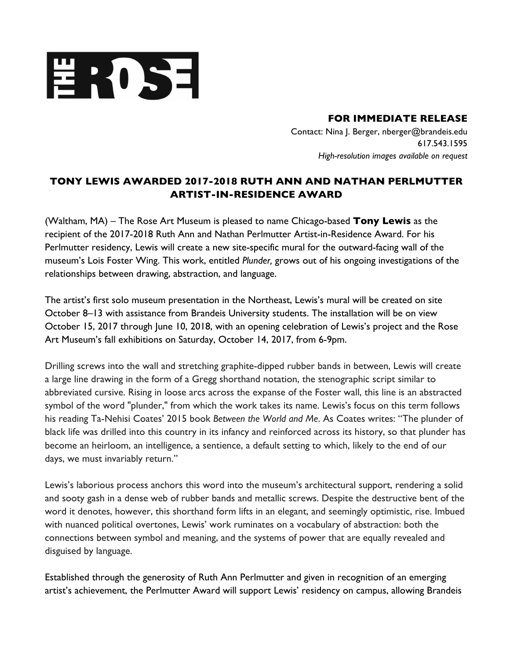

**FOR IMMEDIATE RELEASE** 

 Contact: Nina J. Berger, nberger@brandeis.edu  *High-resolution images available on request*  617.543.1595

## **TONY LEWIS AWARDED 2017-2018 RUTH ANN AND NATHAN PERLMUTTER ARTIST-IN-RESIDENCE AWARD**

 (Waltham, MA) – The Rose Art Museum is pleased to name Chicago-based **Tony Lewis** as the recipient of the 2017-2018 Ruth Ann and Nathan Perlmutter Artist-in-Residence Award. For his Perlmutter residency, Lewis will create a new site-specific mural for the outward-facing wall of the museum's Lois Foster Wing. This work, entitled *Plunder,* grows out of his ongoing investigations of the relationships between drawing, abstraction, and language.

 The artist's first solo museum presentation in the Northeast, Lewis's mural will be created on site October 8–13 with assistance from Brandeis University students. The installation will be on view October 15, 2017 through June 10, 2018, with an opening celebration of Lewis's project and the Rose Art Museum's fall exhibitions on Saturday, October 14, 2017, from 6-9pm.

 Drilling screws into the wall and stretching graphite-dipped rubber bands in between, Lewis will create a large line drawing in the form of a Gregg shorthand notation, the stenographic script similar to abbreviated cursive. Rising in loose arcs across the expanse of the Foster wall, this line is an abstracted symbol of the word "plunder," from which the work takes its name. Lewis's focus on this term follows his reading Ta-Nehisi Coates' 2015 book *Between the World and Me*. As Coates writes: "The plunder of black life was drilled into this country in its infancy and reinforced across its history, so that plunder has become an heirloom, an intelligence, a sentience, a default setting to which, likely to the end of our days, we must invariably return."

days, we must invariably return."<br>Lewis's laborious process anchors this word into the museum's architectural support, rendering a solid and sooty gash in a dense web of rubber bands and metallic screws. Despite the destructive bent of the word it denotes, however, this shorthand form lifts in an elegant, and seemingly optimistic, rise. Imbued with nuanced political overtones, Lewis' work ruminates on a vocabulary of abstraction: both the connections between symbol and meaning, and the systems of power that are equally revealed and disguised by language.

 artist's achievement, the Perlmutter Award will support Lewis' residency on campus, allowing Brandeis Established through the generosity of Ruth Ann Perlmutter and given in recognition of an emerging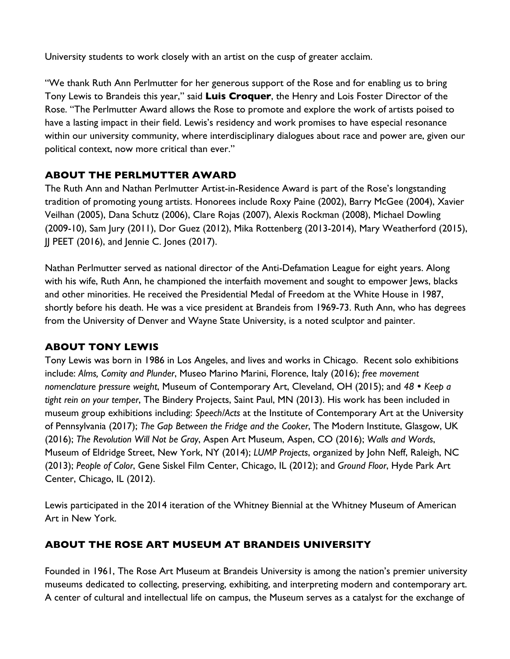University students to work closely with an artist on the cusp of greater acclaim.

 "We thank Ruth Ann Perlmutter for her generous support of the Rose and for enabling us to bring Tony Lewis to Brandeis this year," said **Luis Croquer**, the Henry and Lois Foster Director of the Rose. "The Perlmutter Award allows the Rose to promote and explore the work of artists poised to have a lasting impact in their field. Lewis's residency and work promises to have especial resonance within our university community, where interdisciplinary dialogues about race and power are, given our political context, now more critical than ever."

## **ABOUT THE PERLMUTTER AWARD**

 The Ruth Ann and Nathan Perlmutter Artist-in-Residence Award is part of the Rose's longstanding tradition of promoting young artists. Honorees include Roxy Paine (2002), Barry McGee (2004), Xavier Veilhan (2005), Dana Schutz (2006), Clare Rojas (2007), Alexis Rockman (2008), Michael Dowling (2009-10), Sam Jury (2011), Dor Guez (2012), Mika Rottenberg (2013-2014), Mary Weatherford (2015), JJ PEET (2016), and Jennie C. Jones (2017).

 Nathan Perlmutter served as national director of the Anti-Defamation League for eight years. Along with his wife, Ruth Ann, he championed the interfaith movement and sought to empower Jews, blacks and other minorities. He received the Presidential Medal of Freedom at the White House in 1987, shortly before his death. He was a vice president at Brandeis from 1969-73. Ruth Ann, who has degrees from the University of Denver and Wayne State University, is a noted sculptor and painter.

## **ABOUT TONY LEWIS**

 Tony Lewis was born in 1986 in Los Angeles, and lives and works in Chicago. Recent solo exhibitions  include: *Alms, Comity and Plunder*, Museo Marino Marini, Florence, Italy (2016); *free movement nomenclature pressure weight*, Museum of Contemporary Art, Cleveland, OH (2015); and *48 Keep a tight rein on your temper*, The Bindery Projects, Saint Paul, MN (2013). His work has been included in museum group exhibitions including: *Speech/Acts* at the Institute of Contemporary Art at the University  of Pennsylvania (2017); *The Gap Between the Fridge and the Cooker*, The Modern Institute, Glasgow, UK  (2016); *The Revolution Will Not be Gray*, Aspen Art Museum, Aspen, CO (2016); *Walls and Words*, Museum of Eldridge Street, New York, NY (2014); *LUMP Projects*, organized by John Neff, Raleigh, NC (2013); *People of Color*, Gene Siskel Film Center, Chicago, IL (2012); and *Ground Floor*, Hyde Park Art Center, Chicago, IL (2012).

 Lewis participated in the 2014 iteration of the Whitney Biennial at the Whitney Museum of American Art in New York.

## **ABOUT THE ROSE ART MUSEUM AT BRANDEIS UNIVERSITY**

 Founded in 1961, The Rose Art Museum at Brandeis University is among the nation's premier university museums dedicated to collecting, preserving, exhibiting, and interpreting modern and contemporary art. A center of cultural and intellectual life on campus, the Museum serves as a catalyst for the exchange of